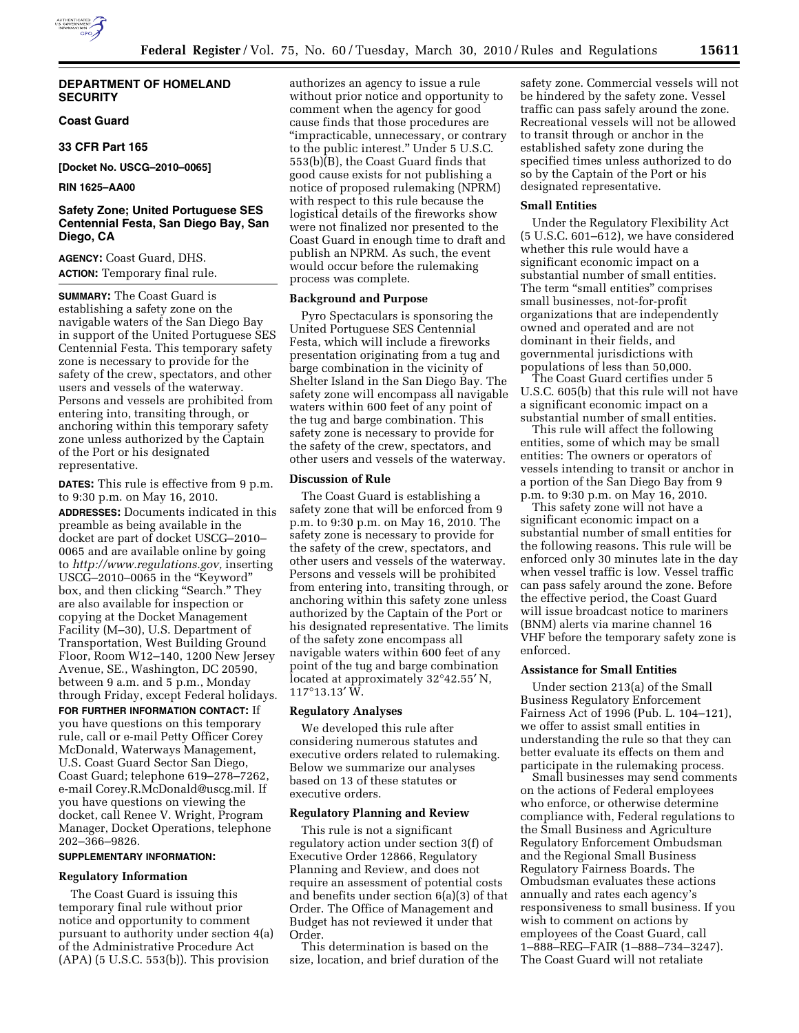## **DEPARTMENT OF HOMELAND SECURITY**

## **Coast Guard**

## **33 CFR Part 165**

**[Docket No. USCG–2010–0065]** 

## **RIN 1625–AA00**

## **Safety Zone; United Portuguese SES Centennial Festa, San Diego Bay, San Diego, CA**

**AGENCY:** Coast Guard, DHS. **ACTION:** Temporary final rule.

**SUMMARY:** The Coast Guard is establishing a safety zone on the navigable waters of the San Diego Bay in support of the United Portuguese SES Centennial Festa. This temporary safety zone is necessary to provide for the safety of the crew, spectators, and other users and vessels of the waterway. Persons and vessels are prohibited from entering into, transiting through, or anchoring within this temporary safety zone unless authorized by the Captain of the Port or his designated representative.

**DATES:** This rule is effective from 9 p.m. to 9:30 p.m. on May 16, 2010.

**ADDRESSES:** Documents indicated in this preamble as being available in the docket are part of docket USCG–2010– 0065 and are available online by going to *http://www.regulations.gov,* inserting USCG–2010–0065 in the ''Keyword'' box, and then clicking "Search." They are also available for inspection or copying at the Docket Management Facility (M–30), U.S. Department of Transportation, West Building Ground Floor, Room W12–140, 1200 New Jersey Avenue, SE., Washington, DC 20590, between 9 a.m. and 5 p.m., Monday through Friday, except Federal holidays.

**FOR FURTHER INFORMATION CONTACT:** If you have questions on this temporary rule, call or e-mail Petty Officer Corey McDonald, Waterways Management, U.S. Coast Guard Sector San Diego, Coast Guard; telephone 619–278–7262, e-mail Corey.R.McDonald@uscg.mil. If you have questions on viewing the docket, call Renee V. Wright, Program Manager, Docket Operations, telephone 202–366–9826.

## **SUPPLEMENTARY INFORMATION:**

#### **Regulatory Information**

The Coast Guard is issuing this temporary final rule without prior notice and opportunity to comment pursuant to authority under section 4(a) of the Administrative Procedure Act (APA) (5 U.S.C. 553(b)). This provision

authorizes an agency to issue a rule without prior notice and opportunity to comment when the agency for good cause finds that those procedures are ''impracticable, unnecessary, or contrary to the public interest.'' Under 5 U.S.C. 553(b)(B), the Coast Guard finds that good cause exists for not publishing a notice of proposed rulemaking (NPRM) with respect to this rule because the logistical details of the fireworks show were not finalized nor presented to the Coast Guard in enough time to draft and publish an NPRM. As such, the event would occur before the rulemaking process was complete.

## **Background and Purpose**

Pyro Spectaculars is sponsoring the United Portuguese SES Centennial Festa, which will include a fireworks presentation originating from a tug and barge combination in the vicinity of Shelter Island in the San Diego Bay. The safety zone will encompass all navigable waters within 600 feet of any point of the tug and barge combination. This safety zone is necessary to provide for the safety of the crew, spectators, and other users and vessels of the waterway.

## **Discussion of Rule**

The Coast Guard is establishing a safety zone that will be enforced from 9 p.m. to 9:30 p.m. on May 16, 2010. The safety zone is necessary to provide for the safety of the crew, spectators, and other users and vessels of the waterway. Persons and vessels will be prohibited from entering into, transiting through, or anchoring within this safety zone unless authorized by the Captain of the Port or his designated representative. The limits of the safety zone encompass all navigable waters within 600 feet of any point of the tug and barge combination located at approximately 32°42.55′ N, 117°13.13′ W.

## **Regulatory Analyses**

We developed this rule after considering numerous statutes and executive orders related to rulemaking. Below we summarize our analyses based on 13 of these statutes or executive orders.

#### **Regulatory Planning and Review**

This rule is not a significant regulatory action under section 3(f) of Executive Order 12866, Regulatory Planning and Review, and does not require an assessment of potential costs and benefits under section 6(a)(3) of that Order. The Office of Management and Budget has not reviewed it under that Order.

This determination is based on the size, location, and brief duration of the

safety zone. Commercial vessels will not be hindered by the safety zone. Vessel traffic can pass safely around the zone. Recreational vessels will not be allowed to transit through or anchor in the established safety zone during the specified times unless authorized to do so by the Captain of the Port or his designated representative.

#### **Small Entities**

Under the Regulatory Flexibility Act (5 U.S.C. 601–612), we have considered whether this rule would have a significant economic impact on a substantial number of small entities. The term "small entities" comprises small businesses, not-for-profit organizations that are independently owned and operated and are not dominant in their fields, and governmental jurisdictions with populations of less than 50,000.

The Coast Guard certifies under 5 U.S.C. 605(b) that this rule will not have a significant economic impact on a substantial number of small entities.

This rule will affect the following entities, some of which may be small entities: The owners or operators of vessels intending to transit or anchor in a portion of the San Diego Bay from 9 p.m. to 9:30 p.m. on May 16, 2010.

This safety zone will not have a significant economic impact on a substantial number of small entities for the following reasons. This rule will be enforced only 30 minutes late in the day when vessel traffic is low. Vessel traffic can pass safely around the zone. Before the effective period, the Coast Guard will issue broadcast notice to mariners (BNM) alerts via marine channel 16 VHF before the temporary safety zone is enforced.

#### **Assistance for Small Entities**

Under section 213(a) of the Small Business Regulatory Enforcement Fairness Act of 1996 (Pub. L. 104–121), we offer to assist small entities in understanding the rule so that they can better evaluate its effects on them and participate in the rulemaking process.

Small businesses may send comments on the actions of Federal employees who enforce, or otherwise determine compliance with, Federal regulations to the Small Business and Agriculture Regulatory Enforcement Ombudsman and the Regional Small Business Regulatory Fairness Boards. The Ombudsman evaluates these actions annually and rates each agency's responsiveness to small business. If you wish to comment on actions by employees of the Coast Guard, call 1–888–REG–FAIR (1–888–734–3247). The Coast Guard will not retaliate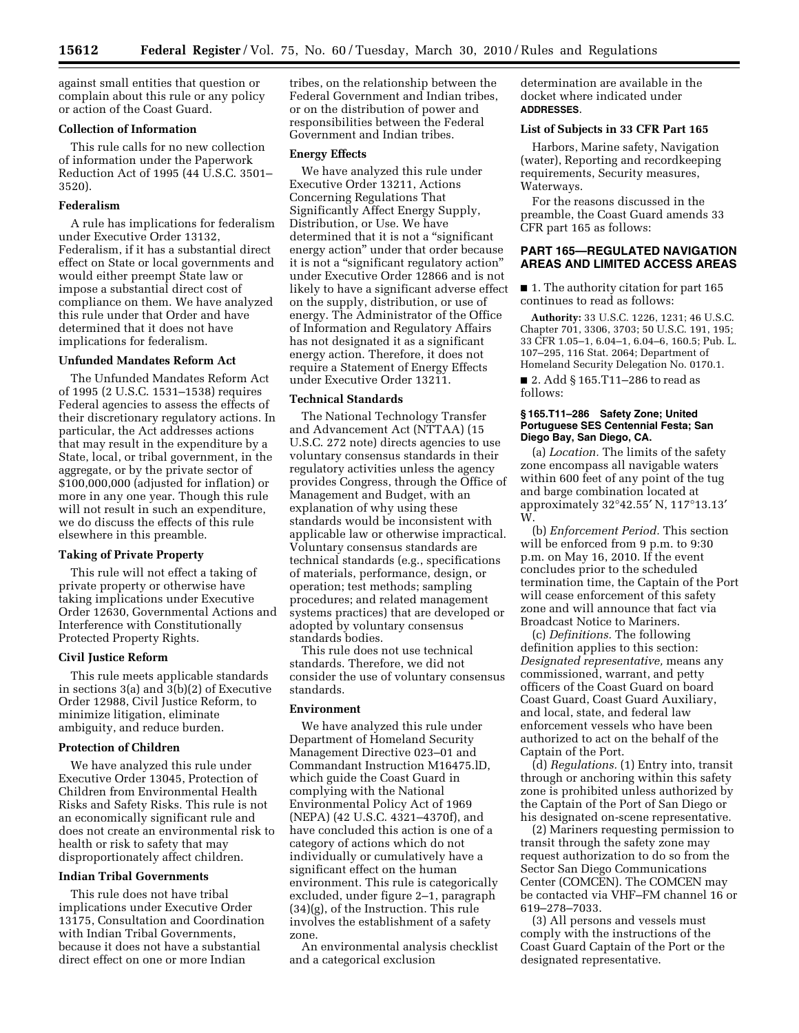against small entities that question or complain about this rule or any policy or action of the Coast Guard.

## **Collection of Information**

This rule calls for no new collection of information under the Paperwork Reduction Act of 1995 (44 U.S.C. 3501– 3520).

## **Federalism**

A rule has implications for federalism under Executive Order 13132, Federalism, if it has a substantial direct effect on State or local governments and would either preempt State law or impose a substantial direct cost of compliance on them. We have analyzed this rule under that Order and have determined that it does not have implications for federalism.

#### **Unfunded Mandates Reform Act**

The Unfunded Mandates Reform Act of 1995 (2 U.S.C. 1531–1538) requires Federal agencies to assess the effects of their discretionary regulatory actions. In particular, the Act addresses actions that may result in the expenditure by a State, local, or tribal government, in the aggregate, or by the private sector of \$100,000,000 (adjusted for inflation) or more in any one year. Though this rule will not result in such an expenditure, we do discuss the effects of this rule elsewhere in this preamble.

## **Taking of Private Property**

This rule will not effect a taking of private property or otherwise have taking implications under Executive Order 12630, Governmental Actions and Interference with Constitutionally Protected Property Rights.

#### **Civil Justice Reform**

This rule meets applicable standards in sections 3(a) and 3(b)(2) of Executive Order 12988, Civil Justice Reform, to minimize litigation, eliminate ambiguity, and reduce burden.

#### **Protection of Children**

We have analyzed this rule under Executive Order 13045, Protection of Children from Environmental Health Risks and Safety Risks. This rule is not an economically significant rule and does not create an environmental risk to health or risk to safety that may disproportionately affect children.

#### **Indian Tribal Governments**

This rule does not have tribal implications under Executive Order 13175, Consultation and Coordination with Indian Tribal Governments, because it does not have a substantial direct effect on one or more Indian

tribes, on the relationship between the Federal Government and Indian tribes, or on the distribution of power and responsibilities between the Federal Government and Indian tribes.

#### **Energy Effects**

We have analyzed this rule under Executive Order 13211, Actions Concerning Regulations That Significantly Affect Energy Supply, Distribution, or Use. We have determined that it is not a "significant energy action'' under that order because it is not a ''significant regulatory action'' under Executive Order 12866 and is not likely to have a significant adverse effect on the supply, distribution, or use of energy. The Administrator of the Office of Information and Regulatory Affairs has not designated it as a significant energy action. Therefore, it does not require a Statement of Energy Effects under Executive Order 13211.

## **Technical Standards**

The National Technology Transfer and Advancement Act (NTTAA) (15 U.S.C. 272 note) directs agencies to use voluntary consensus standards in their regulatory activities unless the agency provides Congress, through the Office of Management and Budget, with an explanation of why using these standards would be inconsistent with applicable law or otherwise impractical. Voluntary consensus standards are technical standards (e.g., specifications of materials, performance, design, or operation; test methods; sampling procedures; and related management systems practices) that are developed or adopted by voluntary consensus standards bodies.

This rule does not use technical standards. Therefore, we did not consider the use of voluntary consensus standards.

#### **Environment**

We have analyzed this rule under Department of Homeland Security Management Directive 023–01 and Commandant Instruction M16475.lD, which guide the Coast Guard in complying with the National Environmental Policy Act of 1969 (NEPA) (42 U.S.C. 4321–4370f), and have concluded this action is one of a category of actions which do not individually or cumulatively have a significant effect on the human environment. This rule is categorically excluded, under figure 2–1, paragraph (34)(g), of the Instruction. This rule involves the establishment of a safety zone.

An environmental analysis checklist and a categorical exclusion

determination are available in the docket where indicated under **ADDRESSES**.

## **List of Subjects in 33 CFR Part 165**

Harbors, Marine safety, Navigation (water), Reporting and recordkeeping requirements, Security measures, Waterways.

For the reasons discussed in the preamble, the Coast Guard amends 33 CFR part 165 as follows:

## **PART 165—REGULATED NAVIGATION AREAS AND LIMITED ACCESS AREAS**

■ 1. The authority citation for part 165 continues to read as follows:

**Authority:** 33 U.S.C. 1226, 1231; 46 U.S.C. Chapter 701, 3306, 3703; 50 U.S.C. 191, 195; 33 CFR 1.05–1, 6.04–1, 6.04–6, 160.5; Pub. L. 107–295, 116 Stat. 2064; Department of Homeland Security Delegation No. 0170.1.

■ 2. Add § 165.T11-286 to read as follows:

#### **§ 165.T11–286 Safety Zone; United Portuguese SES Centennial Festa; San Diego Bay, San Diego, CA.**

(a) *Location.* The limits of the safety zone encompass all navigable waters within 600 feet of any point of the tug and barge combination located at approximately 32°42.55′ N, 117°13.13′  $\tilde{W}$ .

(b) *Enforcement Period.* This section will be enforced from 9 p.m. to 9:30 p.m. on May 16, 2010. If the event concludes prior to the scheduled termination time, the Captain of the Port will cease enforcement of this safety zone and will announce that fact via Broadcast Notice to Mariners.

(c) *Definitions.* The following definition applies to this section: *Designated representative,* means any commissioned, warrant, and petty officers of the Coast Guard on board Coast Guard, Coast Guard Auxiliary, and local, state, and federal law enforcement vessels who have been authorized to act on the behalf of the Captain of the Port.

(d) *Regulations.* (1) Entry into, transit through or anchoring within this safety zone is prohibited unless authorized by the Captain of the Port of San Diego or his designated on-scene representative.

(2) Mariners requesting permission to transit through the safety zone may request authorization to do so from the Sector San Diego Communications Center (COMCEN). The COMCEN may be contacted via VHF–FM channel 16 or 619–278–7033.

(3) All persons and vessels must comply with the instructions of the Coast Guard Captain of the Port or the designated representative.